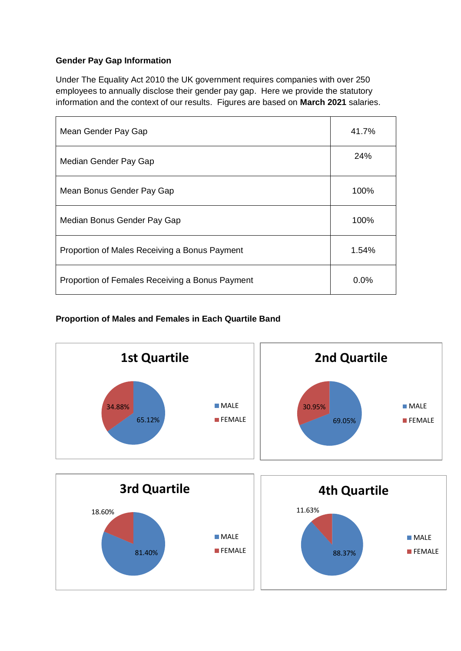## **Gender Pay Gap Information**

Under The Equality Act 2010 the UK government requires companies with over 250 employees to annually disclose their gender pay gap. Here we provide the statutory information and the context of our results. Figures are based on **March 2021** salaries.

| Mean Gender Pay Gap                             | 41.7%    |
|-------------------------------------------------|----------|
| Median Gender Pay Gap                           | 24%      |
| Mean Bonus Gender Pay Gap                       | 100%     |
| Median Bonus Gender Pay Gap                     | 100%     |
| Proportion of Males Receiving a Bonus Payment   | $1.54\%$ |
| Proportion of Females Receiving a Bonus Payment | $0.0\%$  |

## **Proportion of Males and Females in Each Quartile Band**